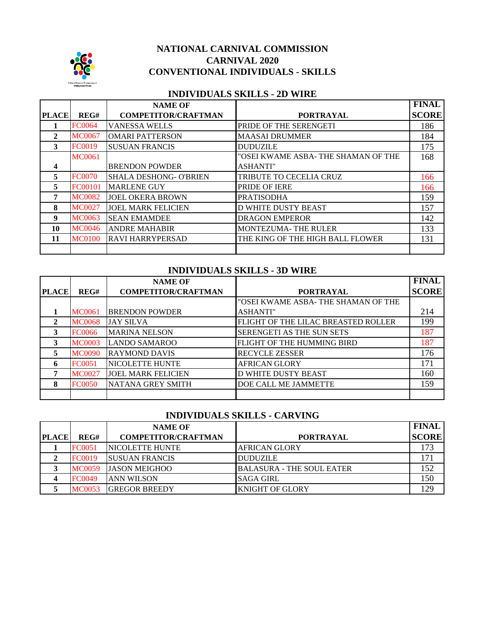

#### **NATIONAL CARNIVAL COMMISSION CARNIVAL 2020 CONVENTIONAL INDIVIDUALS - SKILLS**

#### **INDIVIDUALS SKILLS - 2D WIRE**

|              |               | <b>NAME OF</b>                |                                     | <b>FINAL</b> |
|--------------|---------------|-------------------------------|-------------------------------------|--------------|
| <b>PLACE</b> | REG#          | <b>COMPETITOR/CRAFTMAN</b>    | <b>PORTRAYAL</b>                    | <b>SCORE</b> |
|              | <b>FC0064</b> | <b>VANESSA WELLS</b>          | PRIDE OF THE SERENGETI              | 186          |
| 2            | <b>MC0067</b> | <b>OMARI PATTERSON</b>        | <b>MAASAI DRUMMER</b>               | 184          |
| 3            | <b>FC0019</b> | <b>SUSUAN FRANCIS</b>         | <b>DUDUZILE</b>                     | 175          |
|              | <b>MC0061</b> |                               | "OSEI KWAME ASBA- THE SHAMAN OF THE | 168          |
| 4            |               | <b>BRENDON POWDER</b>         | <b>ASHANTI"</b>                     |              |
| 5            | <b>FC0070</b> | <b>SHALA DESHONG- O'BRIEN</b> | TRIBUTE TO CECELIA CRUZ             | 166          |
| 5.           | FC00101       | <b>MARLENE GUY</b>            | PRIDE OF IERE                       | 166          |
|              | <b>MC0082</b> | <b>JOEL OKERA BROWN</b>       | <b>PRATISODHA</b>                   | 159          |
| 8            | <b>MC0027</b> | <b>JOEL MARK FELICIEN</b>     | <b>D WHITE DUSTY BEAST</b>          | 157          |
| 9            | <b>MC0063</b> | <b>SEAN EMAMDEE</b>           | <b>DRAGON EMPEROR</b>               | 142          |
| 10           | MC0046        | <b>ANDRE MAHABIR</b>          | <b>MONTEZUMA-THE RULER</b>          | 133          |
| 11           | <b>MC0100</b> | <b>RAVI HARRYPERSAD</b>       | THE KING OF THE HIGH BALL FLOWER    | 131          |
|              |               |                               |                                     |              |

#### **INDIVIDUALS SKILLS - 3D WIRE**

|              |               | <b>NAME OF</b>             |                                     | <b>FINAL</b> |
|--------------|---------------|----------------------------|-------------------------------------|--------------|
| <b>PLACE</b> | REG#          | <b>COMPETITOR/CRAFTMAN</b> | <b>PORTRAYAL</b>                    | <b>SCORE</b> |
|              |               |                            | "OSEI KWAME ASBA- THE SHAMAN OF THE |              |
|              | MC0061        | <b>BRENDON POWDER</b>      | <b>ASHANTI"</b>                     | 214          |
| 2            | <b>MC0068</b> | <b>JAY SILVA</b>           | FLIGHT OF THE LILAC BREASTED ROLLER | 199          |
| 3            | FC0066        | <b>MARINA NELSON</b>       | SERENGETI AS THE SUN SETS           | 187          |
| 3            | <b>MC0003</b> | <b>LANDO SAMAROO</b>       | FLIGHT OF THE HUMMING BIRD          | 187          |
| 5            | <b>MC0090</b> | <b>RAYMOND DAVIS</b>       | <b>RECYCLE ZESSER</b>               | 176          |
| 6            | FC0051        | <b>NICOLETTE HUNTE</b>     | <b>AFRICAN GLORY</b>                | 171          |
|              | <b>MC0027</b> | <b>JOEL MARK FELICIEN</b>  | <b>D WHITE DUSTY BEAST</b>          | 160          |
| 8            | FC0050        | NATANA GREY SMITH          | DOE CALL ME JAMMETTE                | 159          |
|              |               |                            |                                     |              |

# **INDIVIDUALS SKILLS - CARVING**

|              |               | <b>NAME OF</b>             |                                  | <b>FINAL</b> |
|--------------|---------------|----------------------------|----------------------------------|--------------|
| <b>PLACE</b> | REG#          | <b>COMPETITOR/CRAFTMAN</b> | <b>PORTRAYAL</b>                 | <b>SCORE</b> |
|              | FC0051        | <b>INICOLETTE HUNTE</b>    | <b>AFRICAN GLORY</b>             | 173          |
|              | FC0019        | <b>ISUSUAN FRANCIS</b>     | <b>DUDUZILE</b>                  |              |
|              | <b>MC0059</b> | <b>JASON MEIGHOO</b>       | <b>BALASURA - THE SOUL EATER</b> | 152          |
|              | <b>FC0049</b> | <b>ANN WILSON</b>          | <b>SAGA GIRL</b>                 | 150          |
|              | MC0053        | <b>GREGOR BREEDY</b>       | <b>KNIGHT OF GLORY</b>           | 129          |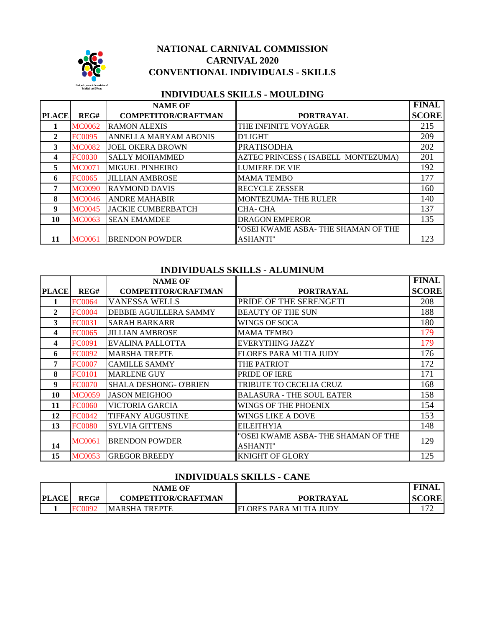

## **NATIONAL CARNIVAL COMMISSION CONVENTIONAL INDIVIDUALS - SKILLS CARNIVAL 2020**

## **INDIVIDUALS SKILLS - MOULDING**

|              |               | <b>NAME OF</b>             |                                     | <b>FINAL</b> |
|--------------|---------------|----------------------------|-------------------------------------|--------------|
| <b>PLACE</b> | REG#          | <b>COMPETITOR/CRAFTMAN</b> | <b>PORTRAYAL</b>                    | <b>SCORE</b> |
|              | <b>MC0062</b> | <b>RAMON ALEXIS</b>        | THE INFINITE VOYAGER                | 215          |
| $\mathbf{2}$ | <b>FC0095</b> | ANNELLA MARYAM ABONIS      | <b>D'LIGHT</b>                      | 209          |
| 3            | <b>MC0082</b> | <b>JOEL OKERA BROWN</b>    | <b>PRATISODHA</b>                   | 202          |
| 4            | FC0030        | <b>SALLY MOHAMMED</b>      | AZTEC PRINCESS (ISABELL MONTEZUMA)  | 201          |
| 5            | <b>MC0071</b> | <b>MIGUEL PINHEIRO</b>     | <b>LUMIERE DE VIE</b>               | 192          |
| 6            | FC0065        | <b>JILLIAN AMBROSE</b>     | <b>MAMA TEMBO</b>                   | 177          |
| 7            | <b>MC0090</b> | <b>RAYMOND DAVIS</b>       | <b>RECYCLE ZESSER</b>               | 160          |
| 8            | <b>MC0046</b> | <b>ANDRE MAHABIR</b>       | <b>MONTEZUMA- THE RULER</b>         | 140          |
| 9            | <b>MC0045</b> | <b>JACKIE CUMBERBATCH</b>  | CHA-CHA                             | 137          |
| 10           | <b>MC0063</b> | <b>SEAN EMAMDEE</b>        | <b>DRAGON EMPEROR</b>               | 135          |
|              |               |                            | "OSEI KWAME ASBA- THE SHAMAN OF THE |              |
| 11           | <b>MC0061</b> | <b>BRENDON POWDER</b>      | <b>ASHANTI"</b>                     | 123          |

#### **INDIVIDUALS SKILLS - ALUMINUM**

|              |               | <b>NAME OF</b>                |                                     | <b>FINAL</b> |
|--------------|---------------|-------------------------------|-------------------------------------|--------------|
| <b>PLACE</b> | REG#          | <b>COMPETITOR/CRAFTMAN</b>    | <b>PORTRAYAL</b>                    | <b>SCORE</b> |
| 1            | <b>FC0064</b> | <b>VANESSA WELLS</b>          | PRIDE OF THE SERENGETI              | 208          |
| $\mathbf{2}$ | <b>FC0004</b> | DEBBIE AGUILLERA SAMMY        | <b>BEAUTY OF THE SUN</b>            | 188          |
| 3            | FC0031        | <b>SARAH BARKARR</b>          | WINGS OF SOCA                       | 180          |
| 4            | <b>FC0065</b> | <b>JILLIAN AMBROSE</b>        | <b>MAMA TEMBO</b>                   | 179          |
| 4            | <b>FC0091</b> | EVALINA PALLOTTA              | EVERYTHING JAZZY                    | 179          |
| 6            | <b>FC0092</b> | <b>MARSHA TREPTE</b>          | <b>FLORES PARA MI TIA JUDY</b>      | 176          |
| 7            | <b>FC0007</b> | <b>CAMILLE SAMMY</b>          | THE PATRIOT                         | 172          |
| 8            | <b>FC0101</b> | <b>MARLENE GUY</b>            | PRIDE OF IERE                       | 171          |
| 9            | <b>FC0070</b> | <b>SHALA DESHONG- O'BRIEN</b> | TRIBUTE TO CECELIA CRUZ             | 168          |
| 10           | <b>MC0059</b> | <b>JASON MEIGHOO</b>          | <b>BALASURA - THE SOUL EATER</b>    | 158          |
| 11           | <b>FC0060</b> | VICTORIA GARCIA               | WINGS OF THE PHOENIX                | 154          |
| 12           | <b>FC0042</b> | <b>TIFFANY AUGUSTINE</b>      | WINGS LIKE A DOVE                   | 153          |
| 13           | <b>FC0080</b> | <b>SYLVIA GITTENS</b>         | <b>EILEITHYIA</b>                   | 148          |
|              | MC0061        | <b>BRENDON POWDER</b>         | "OSEI KWAME ASBA- THE SHAMAN OF THE | 129          |
| 14           |               |                               | <b>ASHANTI"</b>                     |              |
| 15           | <b>MC0053</b> | <b>GREGOR BREEDY</b>          | KNIGHT OF GLORY                     | 125          |

## **INDIVIDUALS SKILLS - CANE**

|              |      | <b>NAME OF</b>             |                         | ' FINAL      |
|--------------|------|----------------------------|-------------------------|--------------|
| <b>PLACE</b> | REG# | <b>COMPETITOR/CRAFTMAN</b> | <b>PORTRAYAL</b>        | <b>SCORE</b> |
|              |      | <b>MARSHA TREPTE</b>       | FLORES PARA MI TIA JUDY | ∼            |